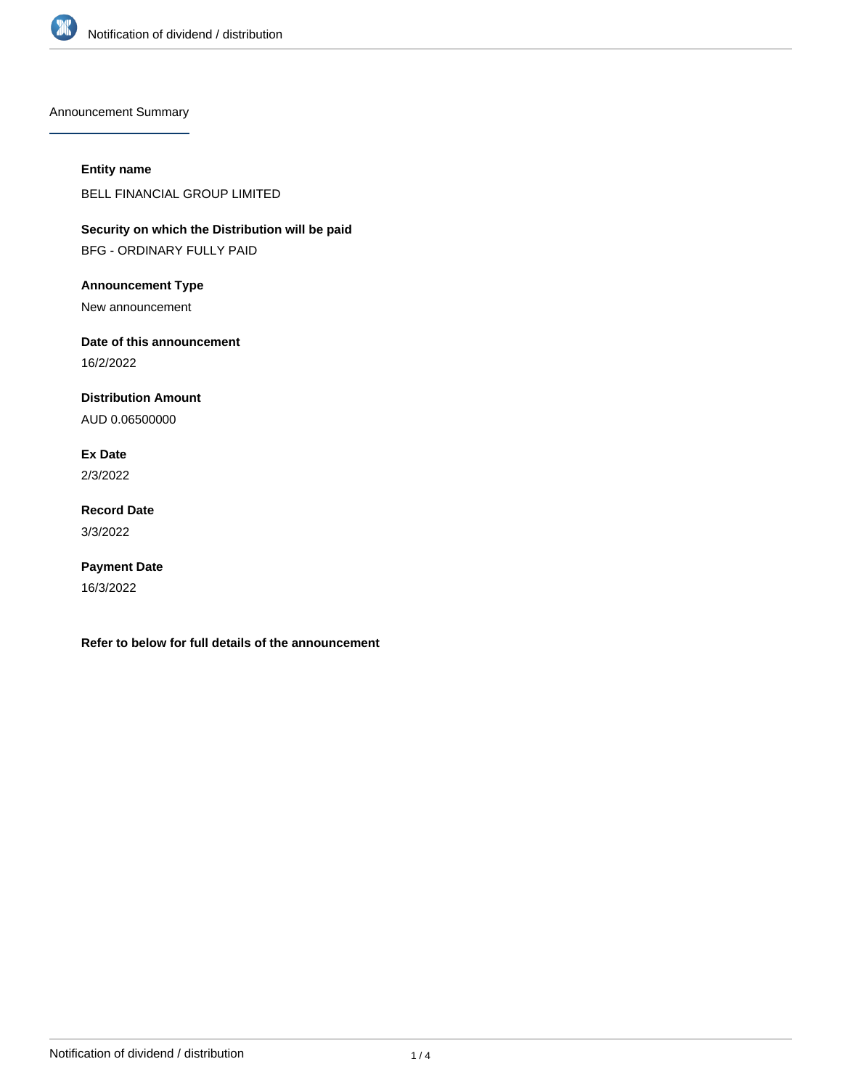

Announcement Summary

## **Entity name**

BELL FINANCIAL GROUP LIMITED

**Security on which the Distribution will be paid** BFG - ORDINARY FULLY PAID

**Announcement Type**

New announcement

**Date of this announcement**

16/2/2022

**Distribution Amount**

AUD 0.06500000

**Ex Date** 2/3/2022

**Record Date** 3/3/2022

**Payment Date** 16/3/2022

**Refer to below for full details of the announcement**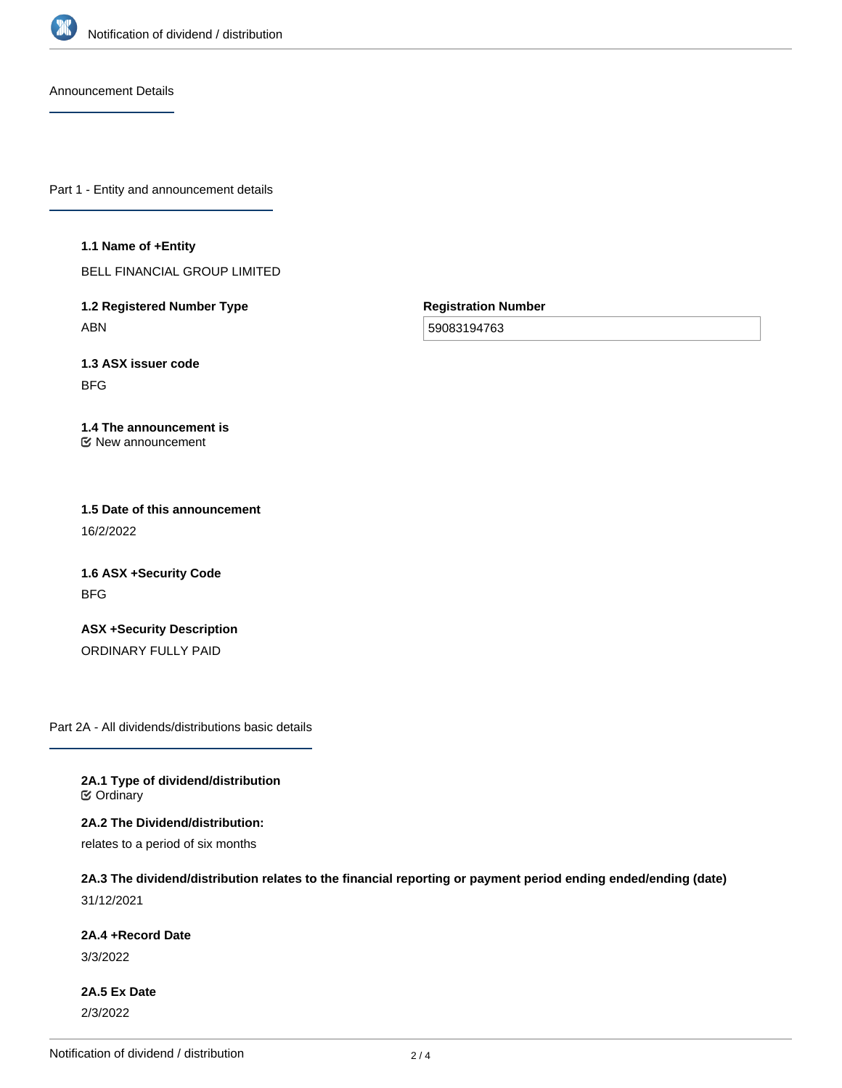

Announcement Details

Part 1 - Entity and announcement details

**1.1 Name of +Entity**

BELL FINANCIAL GROUP LIMITED

**1.2 Registered Number Type** ABN

**Registration Number**

59083194763

**1.3 ASX issuer code** BFG

**1.4 The announcement is** New announcement

**1.5 Date of this announcement** 16/2/2022

**1.6 ASX +Security Code** BFG

**ASX +Security Description** ORDINARY FULLY PAID

Part 2A - All dividends/distributions basic details

**2A.1 Type of dividend/distribution C** Ordinary

**2A.2 The Dividend/distribution:**

relates to a period of six months

**2A.3 The dividend/distribution relates to the financial reporting or payment period ending ended/ending (date)** 31/12/2021

**2A.4 +Record Date**

3/3/2022

**2A.5 Ex Date** 2/3/2022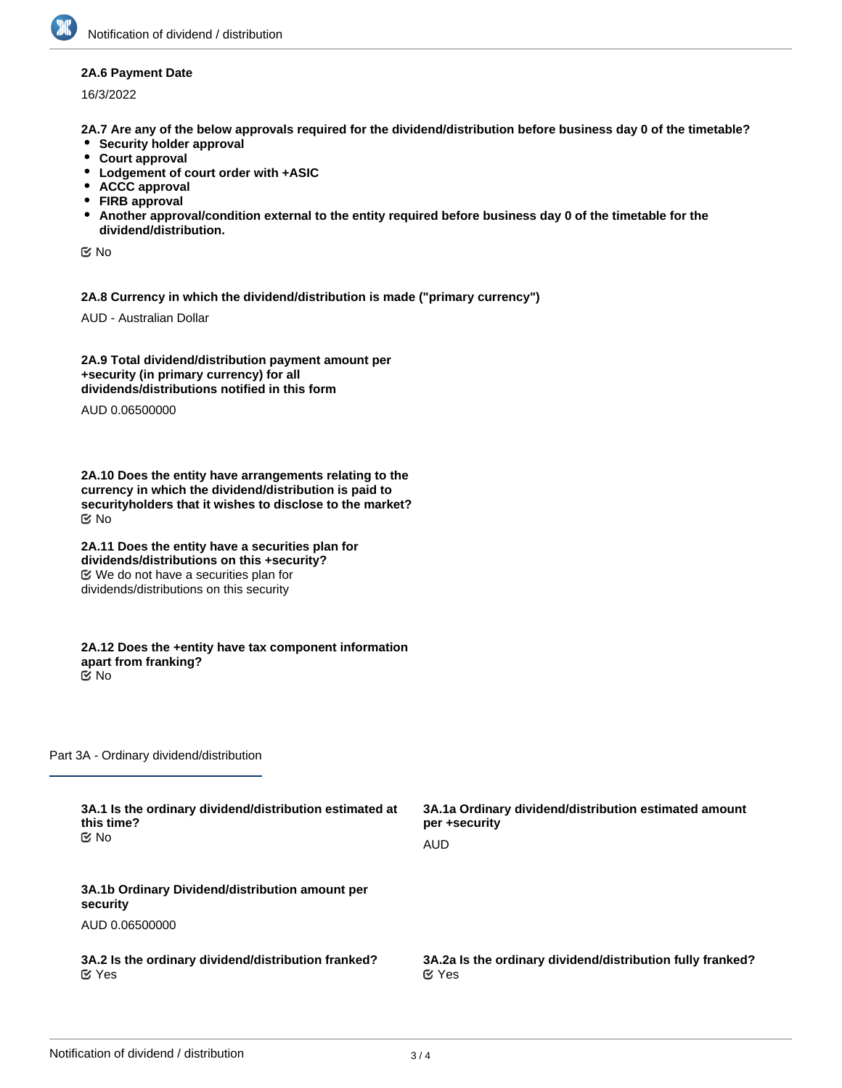## **2A.6 Payment Date**

16/3/2022

**2A.7 Are any of the below approvals required for the dividend/distribution before business day 0 of the timetable?**

- **•** Security holder approval
- **Court approval**
- **Lodgement of court order with +ASIC**
- **ACCC approval**
- **FIRB approval**
- **Another approval/condition external to the entity required before business day 0 of the timetable for the dividend/distribution.**

No

**2A.8 Currency in which the dividend/distribution is made ("primary currency")**

AUD - Australian Dollar

**2A.9 Total dividend/distribution payment amount per +security (in primary currency) for all dividends/distributions notified in this form**

AUD 0.06500000

**2A.10 Does the entity have arrangements relating to the currency in which the dividend/distribution is paid to securityholders that it wishes to disclose to the market?** No

**2A.11 Does the entity have a securities plan for dividends/distributions on this +security?** We do not have a securities plan for dividends/distributions on this security

**2A.12 Does the +entity have tax component information apart from franking?** No

Part 3A - Ordinary dividend/distribution

| 3A.1 Is the ordinary dividend/distribution estimated at     | 3A.1a Ordinary dividend/distribution estimated amount      |
|-------------------------------------------------------------|------------------------------------------------------------|
| this time?                                                  | per +security                                              |
| ©⁄ No                                                       | AUD                                                        |
| 3A.1b Ordinary Dividend/distribution amount per<br>security |                                                            |
| AUD 0.06500000                                              |                                                            |
| 3A.2 Is the ordinary dividend/distribution franked?         | 3A.2a Is the ordinary dividend/distribution fully franked? |
| $\alpha$ Yes                                                | $\alpha$ Yes                                               |